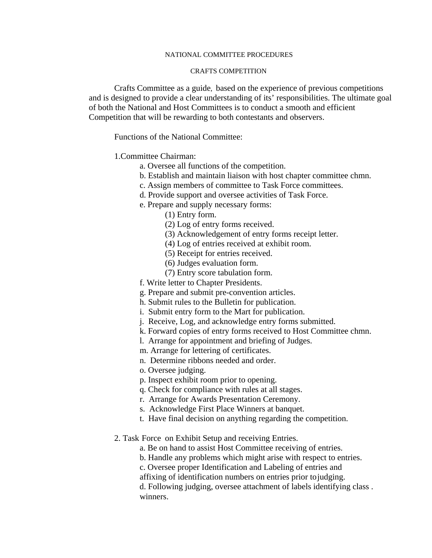## NATIONAL COMMITTEE PROCEDURES

## CRAFTS COMPETITION

Crafts Committee as a guide, based on the experience of previous competitions and is designed to provide a clear understanding of its' responsibilities. The ultimate goal of both the National and Host Committees is to conduct a smooth and efficient Competition that will be rewarding to both contestants and observers.

Functions of the National Committee:

## 1.Committee Chairman:

- a. Oversee all functions of the competition.
- b. Establish and maintain liaison with host chapter committee chmn.
- c. Assign members of committee to Task Force committees.
- d. Provide support and oversee activities of Task Force.
- e. Prepare and supply necessary forms:
	- (1) Entry form.
	- (2) Log of entry forms received.
	- (3) Acknowledgement of entry forms receipt letter.
	- (4) Log of entries received at exhibit room.
	- (5) Receipt for entries received.
	- (6) Judges evaluation form.
	- (7) Entry score tabulation form.
- f. Write letter to Chapter Presidents.
- g. Prepare and submit pre-convention articles.
- h. Submit rules to the Bulletin for publication.
- i. Submit entry form to the Mart for publication.
- j. Receive, Log, and acknowledge entry forms submitted.
- k. Forward copies of entry forms received to Host Committee chmn.
- l. Arrange for appointment and briefing of Judges.
- m. Arrange for lettering of certificates.
- n. Determine ribbons needed and order.
- o. Oversee judging.
- p. Inspect exhibit room prior to opening.
- q. Check for compliance with rules at all stages.
- r. Arrange for Awards Presentation Ceremony.
- s. Acknowledge First Place Winners at banquet.
- t. Have final decision on anything regarding the competition.
- 2. Task Force on Exhibit Setup and receiving Entries.
	- a. Be on hand to assist Host Committee receiving of entries.
	- b. Handle any problems which might arise with respect to entries.
	- c. Oversee proper Identification and Labeling of entries and
	- affixing of identification numbers on entries prior to judging.

 d. Following judging, oversee attachment of labels identifying class . winners.